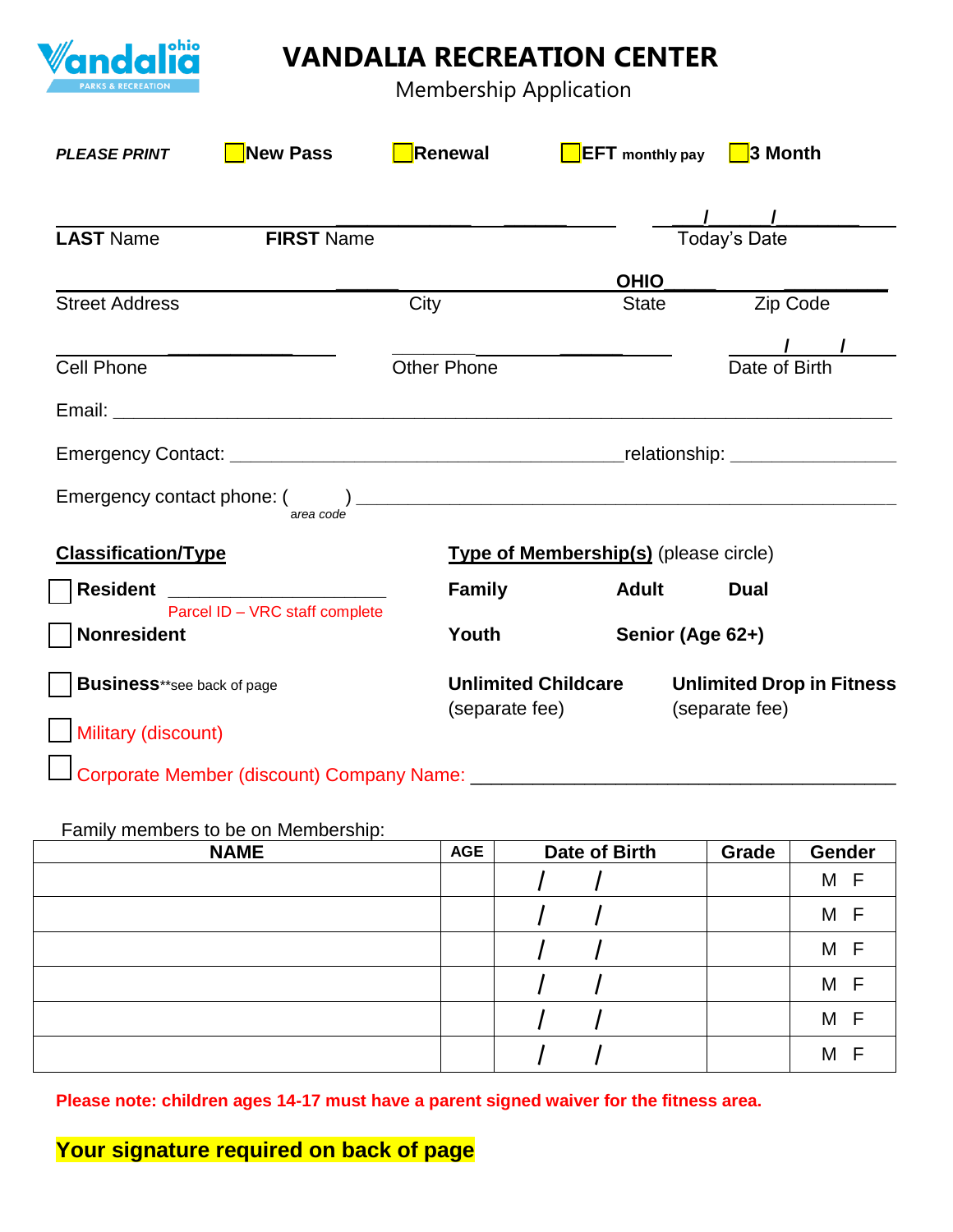

## **VANDALIA RECREATION CENTER**

Membership Application

| <b>PLEASE PRINT</b>                                  | <b>New Pass</b>                            | Renewal                                      | <b>EFT</b> monthly pay                       | 3 Month                                            |  |
|------------------------------------------------------|--------------------------------------------|----------------------------------------------|----------------------------------------------|----------------------------------------------------|--|
| <b>LAST Name</b>                                     | <b>FIRST Name</b>                          |                                              |                                              | <b>Today's Date</b>                                |  |
|                                                      |                                            |                                              | <b>OHIO</b>                                  |                                                    |  |
| <b>Street Address</b>                                |                                            | City                                         | <b>State</b>                                 | Zip Code                                           |  |
| <b>Cell Phone</b>                                    |                                            | <b>Other Phone</b>                           |                                              | Date of Birth                                      |  |
|                                                      |                                            |                                              |                                              |                                                    |  |
|                                                      |                                            |                                              |                                              |                                                    |  |
|                                                      | area code                                  |                                              |                                              |                                                    |  |
| <b>Classification/Type</b>                           |                                            |                                              | <b>Type of Membership(s)</b> (please circle) |                                                    |  |
|                                                      | Resident <b>New York Property Resident</b> | <b>Family</b>                                | <b>Adult</b>                                 | <b>Dual</b>                                        |  |
| Parcel ID - VRC staff complete<br><b>Nonresident</b> |                                            | Youth                                        |                                              | Senior (Age 62+)                                   |  |
| <b>Business**see back of page</b>                    |                                            | <b>Unlimited Childcare</b><br>(separate fee) |                                              | <b>Unlimited Drop in Fitness</b><br>(separate fee) |  |
| Military (discount)                                  |                                            |                                              |                                              |                                                    |  |
|                                                      | Corporate Member (discount) Company Name:  |                                              |                                              |                                                    |  |

## Family members to be on Membership:

| <b>NAME</b> | <b>AGE</b> | Date of Birth | Grade | <b>Gender</b> |
|-------------|------------|---------------|-------|---------------|
|             |            |               |       | M F           |
|             |            |               |       | M F           |
|             |            |               |       | M F           |
|             |            |               |       | M F           |
|             |            |               |       | M F           |
|             |            |               |       | M F           |

**Please note: children ages 14-17 must have a parent signed waiver for the fitness area.**

**Your signature required on back of page**